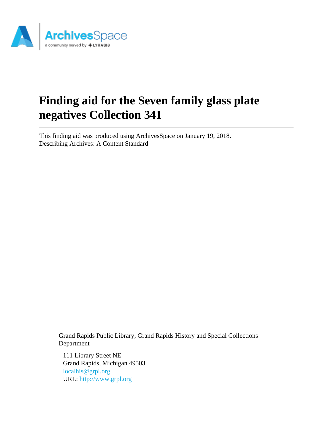

# **Finding aid for the Seven family glass plate negatives Collection 341**

This finding aid was produced using ArchivesSpace on January 19, 2018. Describing Archives: A Content Standard

> Grand Rapids Public Library, Grand Rapids History and Special Collections Department

111 Library Street NE Grand Rapids, Michigan 49503 [localhis@grpl.org](mailto:localhis@grpl.org) URL:<http://www.grpl.org>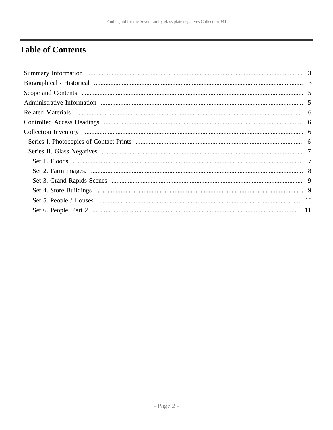# <span id="page-1-0"></span>**Table of Contents**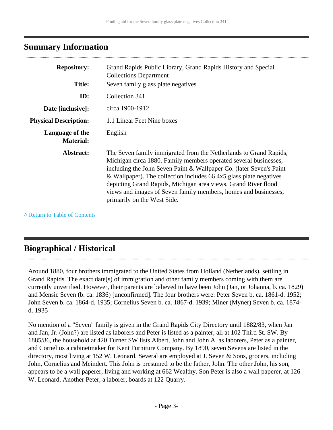### <span id="page-2-0"></span>**Summary Information**

| <b>Repository:</b><br><b>Title:</b> | Grand Rapids Public Library, Grand Rapids History and Special<br><b>Collections Department</b><br>Seven family glass plate negatives                                                                                                                                                                                                                                                                                                                   |
|-------------------------------------|--------------------------------------------------------------------------------------------------------------------------------------------------------------------------------------------------------------------------------------------------------------------------------------------------------------------------------------------------------------------------------------------------------------------------------------------------------|
| ID:                                 | Collection 341                                                                                                                                                                                                                                                                                                                                                                                                                                         |
| Date [inclusive]:                   | circa 1900-1912                                                                                                                                                                                                                                                                                                                                                                                                                                        |
| <b>Physical Description:</b>        | 1.1 Linear Feet Nine boxes                                                                                                                                                                                                                                                                                                                                                                                                                             |
| Language of the<br><b>Material:</b> | English                                                                                                                                                                                                                                                                                                                                                                                                                                                |
| Abstract:                           | The Seven family immigrated from the Netherlands to Grand Rapids,<br>Michigan circa 1880. Family members operated several businesses,<br>including the John Seven Paint & Wallpaper Co. (later Seven's Paint<br>& Wallpaper). The collection includes 66 4x5 glass plate negatives<br>depicting Grand Rapids, Michigan area views, Grand River flood<br>views and images of Seven family members, homes and businesses,<br>primarily on the West Side. |

**^** [Return to Table of Contents](#page-1-0)

### <span id="page-2-1"></span>**Biographical / Historical**

Around 1880, four brothers immigrated to the United States from Holland (Netherlands), settling in Grand Rapids. The exact date(s) of immigration and other family members coming with them are currently unverified. However, their parents are believed to have been John (Jan, or Johanna, b. ca. 1829) and Mensie Seven (b. ca. 1836) [unconfirmed]. The four brothers were: Peter Seven b. ca. 1861-d. 1952; John Seven b. ca. 1864-d. 1935; Cornelius Seven b. ca. 1867-d. 1939; Miner (Myner) Seven b. ca. 1874 d. 1935

No mention of a "Seven" family is given in the Grand Rapids City Directory until 1882/83, when Jan and Jan, Jr. (John?) are listed as laborers and Peter is listed as a painter, all at 102 Third St. SW. By 1885/86, the household at 420 Turner SW lists Albert, John and John A. as laborers, Peter as a painter, and Cornelius a cabinetmaker for Kent Furniture Company. By 1890, seven Sevens are listed in the directory, most living at 152 W. Leonard. Several are employed at J. Seven & Sons, grocers, including John, Cornelius and Meindert. This John is presumed to be the father, John. The other John, his son, appears to be a wall paperer, living and working at 662 Wealthy. Son Peter is also a wall paperer, at 126 W. Leonard. Another Peter, a laborer, boards at 122 Quarry.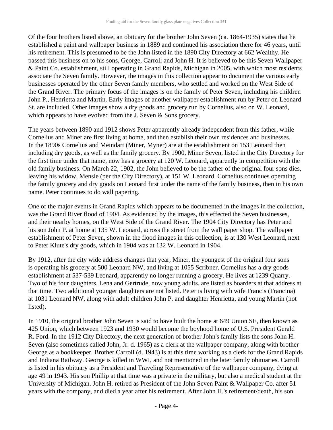Of the four brothers listed above, an obituary for the brother John Seven (ca. 1864-1935) states that he established a paint and wallpaper business in 1889 and continued his association there for 46 years, until his retirement. This is presumed to be the John listed in the 1890 City Directory at 662 Wealthy. He passed this business on to his sons, George, Carroll and John H. It is believed to be this Seven Wallpaper & Paint Co. establishment, still operating in Grand Rapids, Michigan in 2005, with which most residents associate the Seven family. However, the images in this collection appear to document the various early businesses operated by the other Seven family members, who settled and worked on the West Side of the Grand River. The primary focus of the images is on the family of Peter Seven, including his children John P., Henrietta and Martin. Early images of another wallpaper establishment run by Peter on Leonard St. are included. Other images show a dry goods and grocery run by Cornelius, also on W. Leonard, which appears to have evolved from the J. Seven & Sons grocery.

The years between 1890 and 1912 shows Peter apparently already independent from this father, while Cornelius and Miner are first living at home, and then establish their own residences and businesses. In the 1890s Cornelius and Meindart (Miner, Myner) are at the establishment on 153 Leonard then including dry goods, as well as the family grocery. By 1900, Miner Seven, listed in the City Directory for the first time under that name, now has a grocery at 120 W. Leonard, apparently in competition with the old family business. On March 22, 1902, the John believed to be the father of the original four sons dies, leaving his widow, Mensie (per the City Directory), at 151 W. Leonard. Cornelius continues operating the family grocery and dry goods on Leonard first under the name of the family business, then in his own name. Peter continues to do wall papering.

One of the major events in Grand Rapids which appears to be documented in the images in the collection, was the Grand River flood of 1904. As evidenced by the images, this effected the Seven businesses, and their nearby homes, on the West Side of the Grand River. The 1904 City Directory has Peter and his son John P. at home at 135 W. Leonard, across the street from the wall paper shop. The wallpaper establishment of Peter Seven, shown in the flood images in this collection, is at 130 West Leonard, next to Peter Klute's dry goods, which in 1904 was at 132 W. Leonard in 1904.

By 1912, after the city wide address changes that year, Miner, the youngest of the original four sons is operating his grocery at 500 Leonard NW, and living at 1055 Scribner. Cornelius has a dry goods establishment at 537-539 Leonard, apparently no longer running a grocery. He lives at 1239 Quarry. Two of his four daughters, Lena and Gertrude, now young adults, are listed as boarders at that address at that time. Two additional younger daughters are not listed. Peter is living with wife Francis (Francina) at 1031 Leonard NW, along with adult children John P. and daughter Henrietta, and young Martin (not listed).

In 1910, the original brother John Seven is said to have built the home at 649 Union SE, then known as 425 Union, which between 1923 and 1930 would become the boyhood home of U.S. President Gerald R. Ford. In the 1912 City Directory, the next generation of brother John's family lists the sons John H. Seven (also sometimes called John, Jr. d. 1965) as a clerk at the wallpaper company, along with brother George as a bookkeeper. Brother Carroll (d. 1943) is at this time working as a clerk for the Grand Rapids and Indiana Railway. George is killed in WWI, and not mentioned in the later family obituaries. Carroll is listed in his obituary as a President and Traveling Representative of the wallpaper company, dying at age 49 in 1943. His son Phillip at that time was a private in the military, but also a medical student at the University of Michigan. John H. retired as President of the John Seven Paint & Wallpaper Co. after 51 years with the company, and died a year after his retirement. After John H.'s retirement/death, his son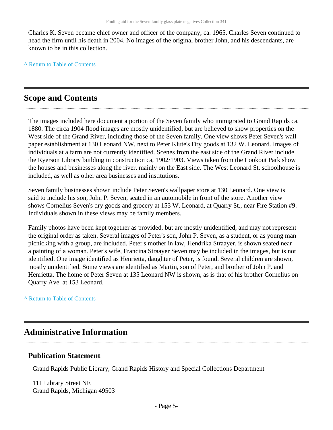Charles K. Seven became chief owner and officer of the company, ca. 1965. Charles Seven continued to head the firm until his death in 2004. No images of the original brother John, and his descendants, are known to be in this collection.

**^** [Return to Table of Contents](#page-1-0)

### <span id="page-4-0"></span>**Scope and Contents**

The images included here document a portion of the Seven family who immigrated to Grand Rapids ca. 1880. The circa 1904 flood images are mostly unidentified, but are believed to show properties on the West side of the Grand River, including those of the Seven family. One view shows Peter Seven's wall paper establishment at 130 Leonard NW, next to Peter Klute's Dry goods at 132 W. Leonard. Images of individuals at a farm are not currently identified. Scenes from the east side of the Grand River include the Ryerson Library building in construction ca, 1902/1903. Views taken from the Lookout Park show the houses and businesses along the river, mainly on the East side. The West Leonard St. schoolhouse is included, as well as other area businesses and institutions.

Seven family businesses shown include Peter Seven's wallpaper store at 130 Leonard. One view is said to include his son, John P. Seven, seated in an automobile in front of the store. Another view shows Cornelius Seven's dry goods and grocery at 153 W. Leonard, at Quarry St., near Fire Station #9. Individuals shown in these views may be family members.

Family photos have been kept together as provided, but are mostly unidentified, and may not represent the original order as taken. Several images of Peter's son, John P. Seven, as a student, or as young man picnicking with a group, are included. Peter's mother in law, Hendrika Straayer, is shown seated near a painting of a woman. Peter's wife, Francina Straayer Seven may be included in the images, but is not identified. One image identified as Henrietta, daughter of Peter, is found. Several children are shown, mostly unidentified. Some views are identified as Martin, son of Peter, and brother of John P. and Henrietta. The home of Peter Seven at 135 Leonard NW is shown, as is that of his brother Cornelius on Quarry Ave. at 153 Leonard.

#### **^** [Return to Table of Contents](#page-1-0)

### <span id="page-4-1"></span>**Administrative Information**

#### **Publication Statement**

Grand Rapids Public Library, Grand Rapids History and Special Collections Department

111 Library Street NE Grand Rapids, Michigan 49503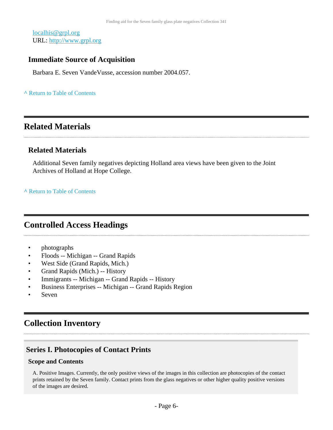[localhis@grpl.org](mailto:localhis@grpl.org) URL:<http://www.grpl.org>

### **Immediate Source of Acquisition**

Barbara E. Seven VandeVusse, accession number 2004.057.

#### **^** [Return to Table of Contents](#page-1-0)

### <span id="page-5-0"></span>**Related Materials**

### **Related Materials**

Additional Seven family negatives depicting Holland area views have been given to the Joint Archives of Holland at Hope College.

#### **^** [Return to Table of Contents](#page-1-0)

### <span id="page-5-1"></span>**Controlled Access Headings**

- photographs
- Floods -- Michigan -- Grand Rapids
- West Side (Grand Rapids, Mich.)
- Grand Rapids (Mich.) -- History
- Immigrants -- Michigan -- Grand Rapids -- History
- Business Enterprises -- Michigan -- Grand Rapids Region
- **Seven**

### <span id="page-5-2"></span>**Collection Inventory**

### <span id="page-5-3"></span>**Series I. Photocopies of Contact Prints**

#### **Scope and Contents**

A. Positive Images. Currently, the only positive views of the images in this collection are photocopies of the contact prints retained by the Seven family. Contact prints from the glass negatives or other higher quality positive versions of the images are desired.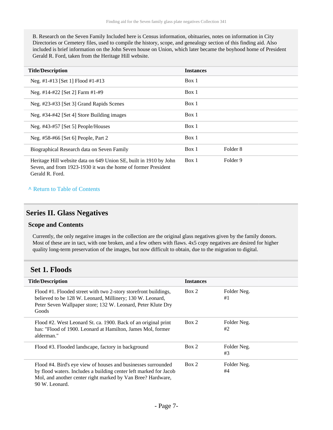B. Research on the Seven Family Included here is Census information, obituaries, notes on information in City Directories or Cemetery files, used to compile the history, scope, and genealogy section of this finding aid. Also included is brief information on the John Seven house on Union, which later became the boyhood home of President Gerald R. Ford, taken from the Heritage Hill website.

| <b>Title/Description</b>                                                                                                           | <b>Instances</b> |          |
|------------------------------------------------------------------------------------------------------------------------------------|------------------|----------|
| Neg. #1-#13 [Set 1] Flood #1-#13                                                                                                   | Box 1            |          |
| Neg. #14-#22 [Set 2] Farm #1-#9                                                                                                    | Box 1            |          |
| Neg. #23-#33 [Set 3] Grand Rapids Scenes                                                                                           | Box 1            |          |
| Neg. #34-#42 [Set 4] Store Building images                                                                                         | Box 1            |          |
| Neg. #43-#57 [Set 5] People/Houses                                                                                                 | Box 1            |          |
| Neg. #58-#66 [Set 6] People, Part 2                                                                                                | Box 1            |          |
| Biographical Research data on Seven Family                                                                                         | Box 1            | Folder 8 |
| Heritage Hill website data on 649 Union SE, built in 1910 by John<br>Seven, and from 1923-1930 it was the home of former President | Box 1            | Folder 9 |

Gerald R. Ford.

#### **^** [Return to Table of Contents](#page-1-0)

### <span id="page-6-0"></span>**Series II. Glass Negatives**

#### **Scope and Contents**

Currently, the only negative images in the collection are the original glass negatives given by the family donors. Most of these are in tact, with one broken, and a few others with flaws. 4x5 copy negatives are desired for higher quality long-term preservation of the images, but now difficult to obtain, due to the migration to digital.

### <span id="page-6-1"></span>**Set 1. Floods**

| <b>Title/Description</b> |                                                                                                                                                                                                                     | <b>Instances</b> |                   |
|--------------------------|---------------------------------------------------------------------------------------------------------------------------------------------------------------------------------------------------------------------|------------------|-------------------|
|                          | Flood #1. Flooded street with two 2-story storefront buildings,<br>believed to be 128 W. Leonard, Millinery; 130 W. Leonard,<br>Peter Seven Wallpaper store; 132 W. Leonard, Peter Klute Dry<br>Goods               | Box 2            | Folder Neg.<br>#1 |
|                          | Flood #2. West Leonard St. ca. 1900. Back of an original print<br>has: "Flood of 1900. Leonard at Hamilton, James Mol, former<br>alderman."                                                                         | Box 2            | Folder Neg.<br>#2 |
|                          | Flood #3. Flooded landscape, factory in background                                                                                                                                                                  | Box 2            | Folder Neg.<br>#3 |
|                          | Flood #4. Bird's eye view of houses and businesses surrounded<br>by flood waters. Includes a building center left marked for Jacob<br>Mol, and another center right marked by Van Bree? Hardware,<br>90 W. Leonard. | Box 2            | Folder Neg.<br>#4 |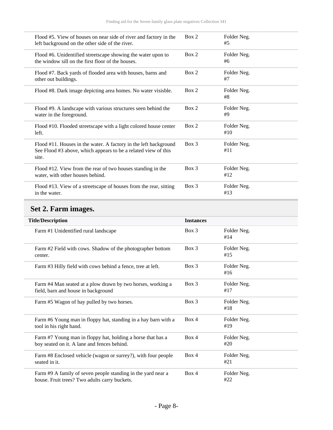| Flood #5. View of houses on near side of river and factory in the<br>left background on the other side of the river.                        | Box 2   | Folder Neg.<br>#5  |
|---------------------------------------------------------------------------------------------------------------------------------------------|---------|--------------------|
| Flood #6. Unidentified streetscape showing the water upon to<br>the window sill on the first floor of the houses.                           | Box 2   | Folder Neg.<br>#6  |
| Flood #7. Back yards of flooded area with houses, barns and<br>other out buildings.                                                         | Box 2   | Folder Neg.<br>#7  |
| Flood #8. Dark image depicting area homes. No water visisble.                                                                               | Box 2   | Folder Neg.<br>#8  |
| Flood #9. A landscape with various structures seen behind the<br>water in the foreground.                                                   | Box 2   | Folder Neg.<br>#9  |
| Flood #10. Flooded streetscape with a light colored house center<br>left.                                                                   | Box 2   | Folder Neg.<br>#10 |
| Flood #11. Houses in the water. A factory in the left background<br>See Flood #3 above, which appears to be a related view of this<br>site. | Box 3   | Folder Neg.<br>#11 |
| Flood #12. View from the rear of two houses standing in the<br>water, with other houses behind.                                             | $Box$ 3 | Folder Neg.<br>#12 |
| Flood #13. View of a streetscape of houses from the rear, sitting<br>in the water.                                                          | Box 3   | Folder Neg.<br>#13 |

# <span id="page-7-0"></span>**Set 2. Farm images.**

| <b>Title/Description</b>                                                                                      | <b>Instances</b> |                    |  |  |
|---------------------------------------------------------------------------------------------------------------|------------------|--------------------|--|--|
| Farm #1 Unidentified rural landscape                                                                          | $Box$ 3          | Folder Neg.<br>#14 |  |  |
| Farm #2 Field with cows. Shadow of the photographer bottom<br>center.                                         | $Box$ 3          | Folder Neg.<br>#15 |  |  |
| Farm #3 Hilly field with cows behind a fence, tree at left.                                                   | $Box$ 3          | Folder Neg.<br>#16 |  |  |
| Farm #4 Man seated at a plow drawn by two horses, working a<br>field, barn and house in background            | Box 3            | Folder Neg.<br>#17 |  |  |
| Farm #5 Wagon of hay pulled by two horses.                                                                    | Box 3            | Folder Neg.<br>#18 |  |  |
| Farm #6 Young man in floppy hat, standing in a hay barn with a<br>tool in his right hand.                     | Box 4            | Folder Neg.<br>#19 |  |  |
| Farm #7 Young man in floppy hat, holding a horse that has a<br>boy seated on it. A lane and fences behind.    | Box 4            | Folder Neg.<br>#20 |  |  |
| Farm #8 Enclosed vehicle (wagon or surrey?), with four people<br>seated in it.                                | Box 4            | Folder Neg.<br>#21 |  |  |
| Farm #9 A family of seven people standing in the yard near a<br>house. Fruit trees? Two adults carry buckets. | Box 4            | Folder Neg.<br>#22 |  |  |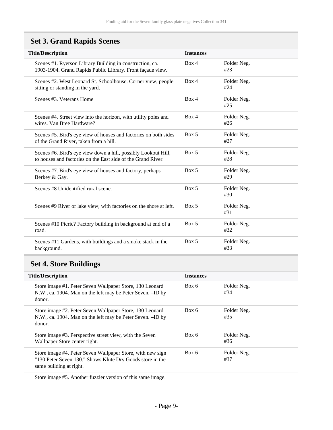# <span id="page-8-0"></span>**Set 3. Grand Rapids Scenes**

| <b>Title/Description</b>                                                                                                       | <b>Instances</b> |                    |  |  |  |
|--------------------------------------------------------------------------------------------------------------------------------|------------------|--------------------|--|--|--|
| Scenes #1. Ryerson Library Building in construction, ca.<br>1903-1904. Grand Rapids Public Library. Front façade view.         | Box 4            | Folder Neg.<br>#23 |  |  |  |
| Scenes #2. West Leonard St. Schoolhouse. Corner view, people<br>sitting or standing in the yard.                               | Box 4            | Folder Neg.<br>#24 |  |  |  |
| Scenes #3. Veterans Home                                                                                                       | Box 4            | Folder Neg.<br>#25 |  |  |  |
| Scenes #4. Street view into the horizon, with utility poles and<br>wires. Van Bree Hardware?                                   | Box 4            | Folder Neg.<br>#26 |  |  |  |
| Scenes #5. Bird's eye view of houses and factories on both sides<br>of the Grand River, taken from a hill.                     | Box 5            | Folder Neg.<br>#27 |  |  |  |
| Scenes #6. Bird's eye view down a hill, possibly Lookout Hill,<br>to houses and factories on the East side of the Grand River. | Box 5            | Folder Neg.<br>#28 |  |  |  |
| Scenes #7. Bird's eye view of houses and factory, perhaps<br>Berkey & Gay.                                                     | Box 5            | Folder Neg.<br>#29 |  |  |  |
| Scenes #8 Unidentified rural scene.                                                                                            | Box 5            | Folder Neg.<br>#30 |  |  |  |
| Scenes #9 River or lake view, with factories on the shore at left.                                                             | Box 5            | Folder Neg.<br>#31 |  |  |  |
| Scenes #10 Picric? Factory building in background at end of a<br>road.                                                         | Box 5            | Folder Neg.<br>#32 |  |  |  |
| Scenes #11 Gardens, with buildings and a smoke stack in the<br>background.                                                     | Box 5            | Folder Neg.<br>#33 |  |  |  |

# <span id="page-8-1"></span>**Set 4. Store Buildings**

| <b>Title/Description</b>                                                                                                                           | <b>Instances</b> |                    |  |
|----------------------------------------------------------------------------------------------------------------------------------------------------|------------------|--------------------|--|
| Store image #1. Peter Seven Wallpaper Store, 130 Leonard<br>N.W., ca. 1904. Man on the left may be Peter Seven. -ID by<br>donor.                   | Box 6            | Folder Neg.<br>#34 |  |
| Store image #2. Peter Seven Wallpaper Store, 130 Leonard<br>N.W., ca. 1904. Man on the left may be Peter Seven. -ID by<br>donor.                   | Box 6            | Folder Neg.<br>#35 |  |
| Store image #3. Perspective street view, with the Seven<br>Wallpaper Store center right.                                                           | Box 6            | Folder Neg.<br>#36 |  |
| Store image #4. Peter Seven Wallpaper Store, with new sign<br>"130 Peter Seven 130." Shows Klute Dry Goods store in the<br>same building at right. | Box 6            | Folder Neg.<br>#37 |  |

Store image #5. Another fuzzier version of this same image.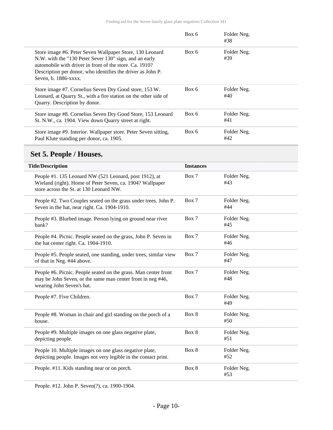|                                                                                                                                                                                                                                                                      | Box 6 | Folder Neg.<br>#38 |  |
|----------------------------------------------------------------------------------------------------------------------------------------------------------------------------------------------------------------------------------------------------------------------|-------|--------------------|--|
| Store image #6. Peter Seven Wallpaper Store, 130 Leonard<br>N.W. with the "130 Peter Sever 130" sign, and an early<br>automobile with driver in front of the store. Ca. 1910?<br>Description per donor, who identifies the driver as John P.<br>Seven, b. 1886-xxxx. | Box 6 | Folder Neg.<br>#39 |  |
| Store image #7. Cornelius Seven Dry Good store, 153 W.<br>Leonard, at Quarry St., with a fire station on the other side of<br>Quarry. Description by donor.                                                                                                          | Box 6 | Folder Neg.<br>#40 |  |
| Store image #8. Cornelius Seven Dry Good Store, 153 Leonard<br>St. N.W., ca. 1904. View down Quarry street at right.                                                                                                                                                 | Box 6 | Folder Neg.<br>#41 |  |
| Store image #9. Interior. Wallpaper store. Peter Seven sitting,<br>Paul Klute standing per donor, ca. 1905.                                                                                                                                                          | Box 6 | Folder Neg.<br>#42 |  |

# <span id="page-9-0"></span>**Set 5. People / Houses.**

| <b>Title/Description</b>                                                                                                                                       | <b>Instances</b> |                    |
|----------------------------------------------------------------------------------------------------------------------------------------------------------------|------------------|--------------------|
| People #1. 135 Leonard NW (521 Leonard, post 1912), at<br>Wieland (right). Home of Peter Seven, ca. 1904? Wallpaper<br>store across the St. at 130 Leonard NW. | Box 7            | Folder Neg.<br>#43 |
| People #2. Two Couples seated on the grass under trees. John P.<br>Seven in the hat, near right. Ca. 1904-1910.                                                | Box 7            | Folder Neg.<br>#44 |
| People #3. Blurbed image. Person lying on ground near river<br>bank?                                                                                           | Box 7            | Folder Neg.<br>#45 |
| People #4. Picnic. People seated on the grass, John P. Seven in<br>the hat center right. Ca. 1904-1910.                                                        | Box 7            | Folder Neg.<br>#46 |
| People #5. People seated, one standing, under trees, similar view<br>of that in Neg. #44 above.                                                                | Box 7            | Folder Neg.<br>#47 |
| People #6. Picnic. People seated on the grass. Man center front<br>may be John Seven, or the same man center front in neg #46,<br>wearing John Seven's hat.    | Box 7            | Folder Neg.<br>#48 |
| People #7. Five Children.                                                                                                                                      | Box 7            | Folder Neg.<br>#49 |
| People #8. Woman in chair and girl standing on the porch of a<br>house.                                                                                        | Box 8            | Folder Neg.<br>#50 |
| People #9. Multiple images on one glass negative plate,<br>depicting people.                                                                                   | Box 8            | Folder Neg.<br>#51 |
| People 10. Multiple images on one glass negative plate,<br>depicting people. Images not very legible in the contact print.                                     | Box 8            | Folder Neg.<br>#52 |
| People. #11. Kids standing near or on porch.                                                                                                                   | Box 8            | Folder Neg.<br>#53 |

People. #12. John P. Seven(?), ca. 1900-1904.